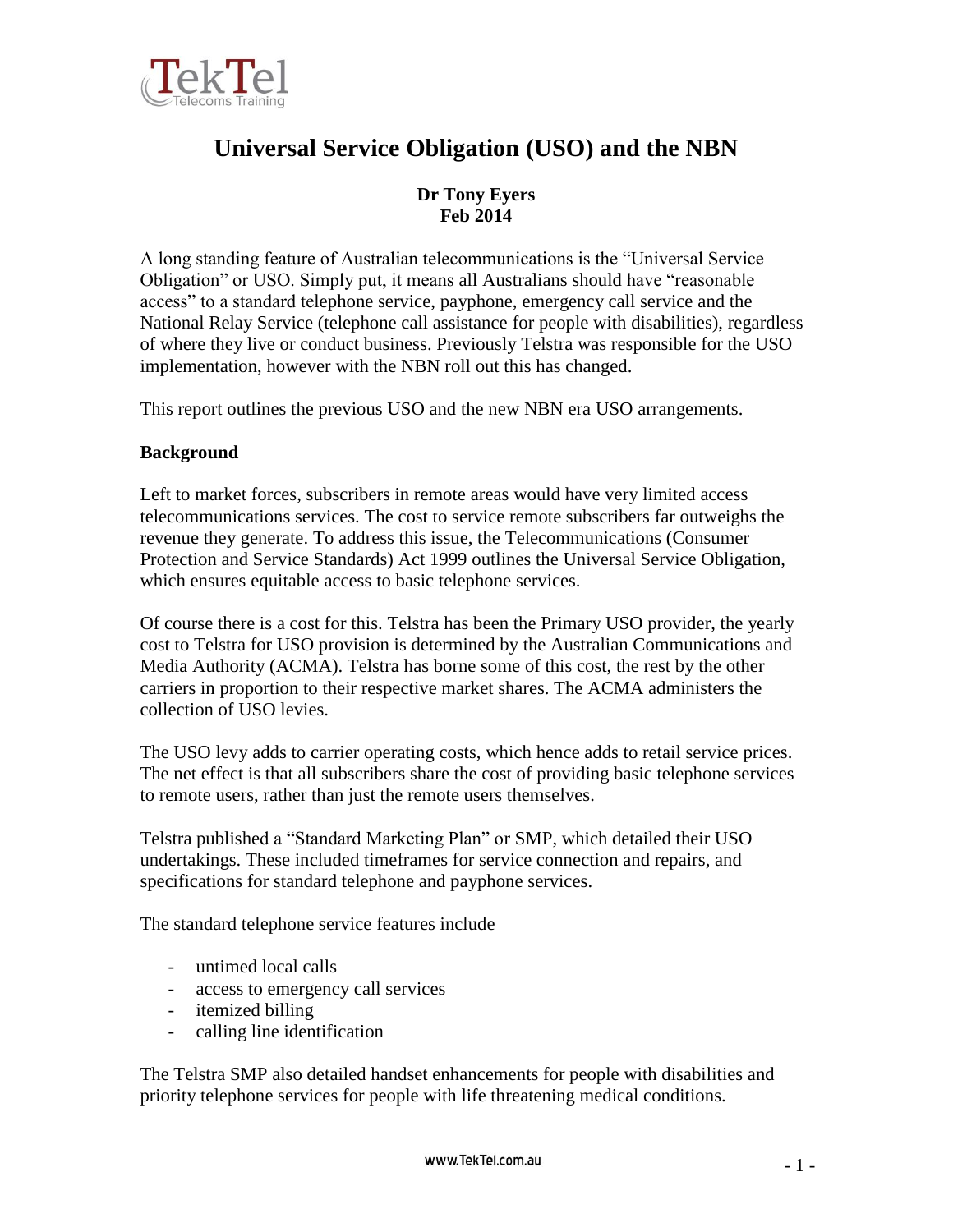

# **Universal Service Obligation (USO) and the NBN**

# **Dr Tony Eyers Feb 2014**

A long standing feature of Australian telecommunications is the "Universal Service Obligation" or USO. Simply put, it means all Australians should have "reasonable access" to a standard telephone service, payphone, emergency call service and the National Relay Service (telephone call assistance for people with disabilities), regardless of where they live or conduct business. Previously Telstra was responsible for the USO implementation, however with the NBN roll out this has changed.

This report outlines the previous USO and the new NBN era USO arrangements.

# **Background**

Left to market forces, subscribers in remote areas would have very limited access telecommunications services. The cost to service remote subscribers far outweighs the revenue they generate. To address this issue, the Telecommunications (Consumer Protection and Service Standards) Act 1999 outlines the Universal Service Obligation, which ensures equitable access to basic telephone services.

Of course there is a cost for this. Telstra has been the Primary USO provider, the yearly cost to Telstra for USO provision is determined by the Australian Communications and Media Authority (ACMA). Telstra has borne some of this cost, the rest by the other carriers in proportion to their respective market shares. The ACMA administers the collection of USO levies.

The USO levy adds to carrier operating costs, which hence adds to retail service prices. The net effect is that all subscribers share the cost of providing basic telephone services to remote users, rather than just the remote users themselves.

Telstra published a "Standard Marketing Plan" or SMP, which detailed their USO undertakings. These included timeframes for service connection and repairs, and specifications for standard telephone and payphone services.

The standard telephone service features include

- untimed local calls
- access to emergency call services
- itemized billing
- calling line identification

The Telstra SMP also detailed handset enhancements for people with disabilities and priority telephone services for people with life threatening medical conditions.